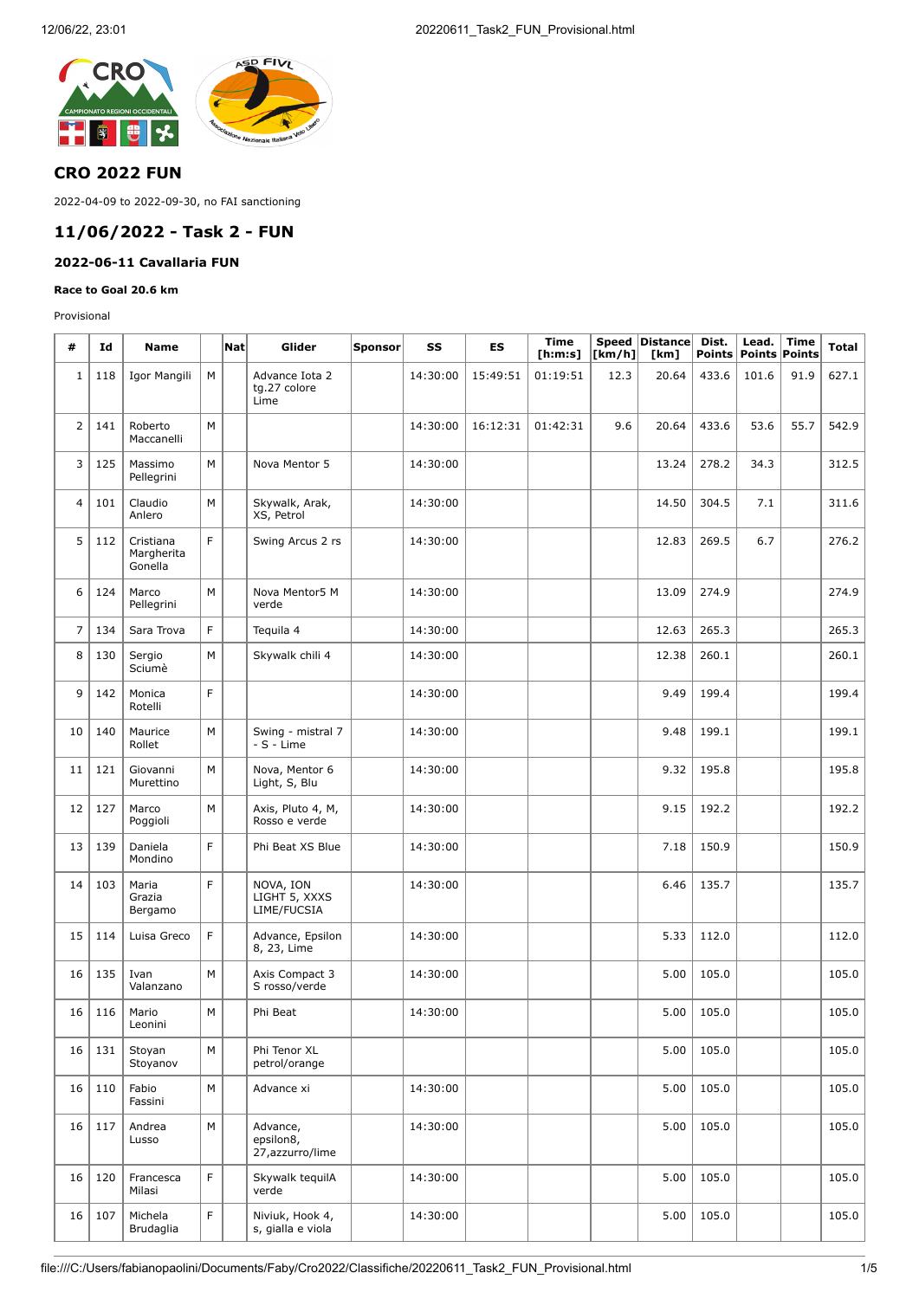

## **CRO 2022 FUN**

2022-04-09 to 2022-09-30, no FAI sanctioning

# **11/06/2022 - Task 2 - FUN**

## **2022-06-11 Cavallaria FUN**

#### **Race to Goal 20.6 km**

Provisional

| #                       | Id  | <b>Name</b>                        |   | Nat | Glider                                    | <b>Sponsor</b> | SS       | ES       | <b>Time</b><br>[ <b>h</b> : <b>m</b> : <b>s</b> ] | $\lfloor \mathsf{km}/\mathsf{h} \rfloor$ | Speed Distance<br>[km] | Dist. | Lead.<br>Points   Points   Points | <b>Time</b> | <b>Total</b> |
|-------------------------|-----|------------------------------------|---|-----|-------------------------------------------|----------------|----------|----------|---------------------------------------------------|------------------------------------------|------------------------|-------|-----------------------------------|-------------|--------------|
| $1\,$                   | 118 | Igor Mangili                       | М |     | Advance Iota 2<br>tg.27 colore<br>Lime    |                | 14:30:00 | 15:49:51 | 01:19:51                                          | 12.3                                     | 20.64                  | 433.6 | 101.6                             | 91.9        | 627.1        |
| $\overline{2}$          | 141 | Roberto<br>Maccanelli              | M |     |                                           |                | 14:30:00 | 16:12:31 | 01:42:31                                          | 9.6                                      | 20.64                  | 433.6 | 53.6                              | 55.7        | 542.9        |
| 3                       | 125 | Massimo<br>Pellegrini              | M |     | Nova Mentor 5                             |                | 14:30:00 |          |                                                   |                                          | 13.24                  | 278.2 | 34.3                              |             | 312.5        |
| $\overline{\mathbf{4}}$ | 101 | Claudio<br>Anlero                  | M |     | Skywalk, Arak,<br>XS, Petrol              |                | 14:30:00 |          |                                                   |                                          | 14.50                  | 304.5 | 7.1                               |             | 311.6        |
| 5                       | 112 | Cristiana<br>Margherita<br>Gonella | F |     | Swing Arcus 2 rs                          |                | 14:30:00 |          |                                                   |                                          | 12.83                  | 269.5 | 6.7                               |             | 276.2        |
| 6                       | 124 | Marco<br>Pellegrini                | M |     | Nova Mentor5 M<br>verde                   |                | 14:30:00 |          |                                                   |                                          | 13.09                  | 274.9 |                                   |             | 274.9        |
| $\overline{7}$          | 134 | Sara Trova                         | F |     | Tequila 4                                 |                | 14:30:00 |          |                                                   |                                          | 12.63                  | 265.3 |                                   |             | 265.3        |
| 8                       | 130 | Sergio<br>Sciumè                   | M |     | Skywalk chili 4                           |                | 14:30:00 |          |                                                   |                                          | 12.38                  | 260.1 |                                   |             | 260.1        |
| 9                       | 142 | Monica<br>Rotelli                  | F |     |                                           |                | 14:30:00 |          |                                                   |                                          | 9.49                   | 199.4 |                                   |             | 199.4        |
| 10                      | 140 | Maurice<br>Rollet                  | M |     | Swing - mistral 7<br>$-S - Lime$          |                | 14:30:00 |          |                                                   |                                          | 9.48                   | 199.1 |                                   |             | 199.1        |
| 11                      | 121 | Giovanni<br>Murettino              | M |     | Nova, Mentor 6<br>Light, S, Blu           |                | 14:30:00 |          |                                                   |                                          | 9.32                   | 195.8 |                                   |             | 195.8        |
| 12                      | 127 | Marco<br>Poggioli                  | M |     | Axis, Pluto 4, M,<br>Rosso e verde        |                | 14:30:00 |          |                                                   |                                          | 9.15                   | 192.2 |                                   |             | 192.2        |
| 13                      | 139 | Daniela<br>Mondino                 | F |     | Phi Beat XS Blue                          |                | 14:30:00 |          |                                                   |                                          | 7.18                   | 150.9 |                                   |             | 150.9        |
| 14                      | 103 | Maria<br>Grazia<br>Bergamo         | F |     | NOVA, ION<br>LIGHT 5, XXXS<br>LIME/FUCSIA |                | 14:30:00 |          |                                                   |                                          | 6.46                   | 135.7 |                                   |             | 135.7        |
| 15                      | 114 | Luisa Greco                        | F |     | Advance, Epsilon<br>8, 23, Lime           |                | 14:30:00 |          |                                                   |                                          | 5.33                   | 112.0 |                                   |             | 112.0        |
| 16                      | 135 | Ivan<br>Valanzano                  | M |     | Axis Compact 3<br>S rosso/verde           |                | 14:30:00 |          |                                                   |                                          | 5.00                   | 105.0 |                                   |             | 105.0        |
| 16                      | 116 | Mario<br>Leonini                   | M |     | Phi Beat                                  |                | 14:30:00 |          |                                                   |                                          | 5.00                   | 105.0 |                                   |             | 105.0        |
| 16                      | 131 | Stoyan<br>Stoyanov                 | M |     | Phi Tenor XL<br>petrol/orange             |                |          |          |                                                   |                                          | 5.00                   | 105.0 |                                   |             | 105.0        |
| 16                      | 110 | Fabio<br>Fassini                   | M |     | Advance xi                                |                | 14:30:00 |          |                                                   |                                          | 5.00                   | 105.0 |                                   |             | 105.0        |
| 16                      | 117 | Andrea<br>Lusso                    | M |     | Advance,<br>epsilon8,<br>27, azzurro/lime |                | 14:30:00 |          |                                                   |                                          | 5.00                   | 105.0 |                                   |             | 105.0        |
| 16                      | 120 | Francesca<br>Milasi                | F |     | Skywalk tequilA<br>verde                  |                | 14:30:00 |          |                                                   |                                          | 5.00                   | 105.0 |                                   |             | 105.0        |
| 16                      | 107 | Michela<br>Brudaglia               | F |     | Niviuk, Hook 4,<br>s, gialla e viola      |                | 14:30:00 |          |                                                   |                                          | 5.00                   | 105.0 |                                   |             | 105.0        |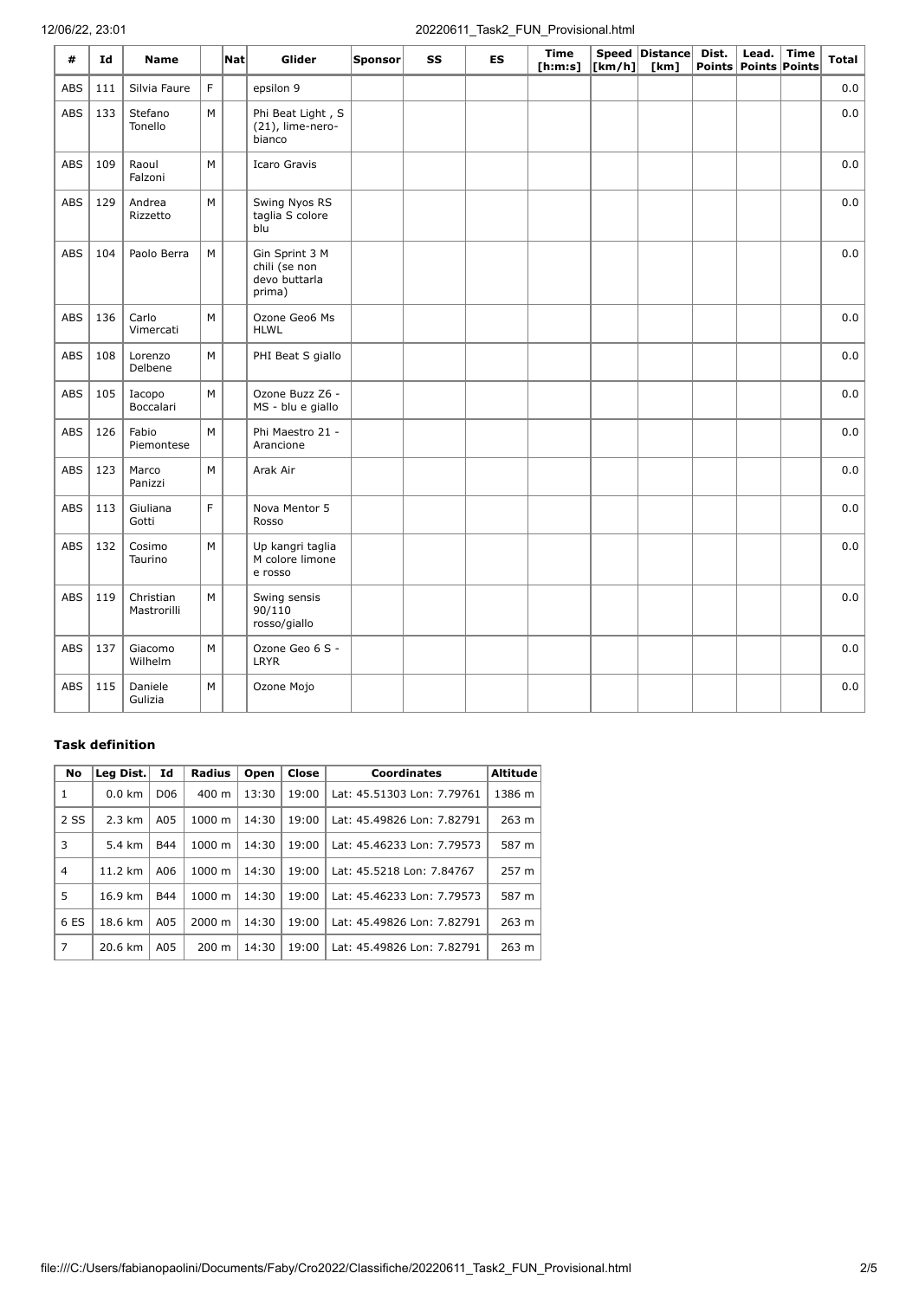### 12/06/22, 23:01 20220611\_Task2\_FUN\_Provisional.html

| #          | Id  | <b>Name</b>              |   | Natl | Glider                                                     | Sponsor | SS | <b>ES</b> | <b>Time</b><br>[ <b>h</b> : <b>m</b> : <b>s</b> ] | $\lfloor \lfloor km/h \rfloor \rfloor$ | Speed Distance<br>[km] | Dist. | Lead.<br>Points Points Points | <b>Time</b> | <b>Total</b> |
|------------|-----|--------------------------|---|------|------------------------------------------------------------|---------|----|-----------|---------------------------------------------------|----------------------------------------|------------------------|-------|-------------------------------|-------------|--------------|
| ABS        | 111 | Silvia Faure             | F |      | epsilon 9                                                  |         |    |           |                                                   |                                        |                        |       |                               |             | 0.0          |
| ABS        | 133 | Stefano<br>Tonello       | M |      | Phi Beat Light, S<br>(21), lime-nero-<br>bianco            |         |    |           |                                                   |                                        |                        |       |                               |             | $_{0.0}$     |
| ABS        | 109 | Raoul<br>Falzoni         | M |      | <b>Icaro Gravis</b>                                        |         |    |           |                                                   |                                        |                        |       |                               |             | $_{0.0}$     |
| <b>ABS</b> | 129 | Andrea<br>Rizzetto       | M |      | Swing Nyos RS<br>taglia S colore<br>blu                    |         |    |           |                                                   |                                        |                        |       |                               |             | 0.0          |
| <b>ABS</b> | 104 | Paolo Berra              | M |      | Gin Sprint 3 M<br>chili (se non<br>devo buttarla<br>prima) |         |    |           |                                                   |                                        |                        |       |                               |             | 0.0          |
| <b>ABS</b> | 136 | Carlo<br>Vimercati       | M |      | Ozone Geo6 Ms<br><b>HLWL</b>                               |         |    |           |                                                   |                                        |                        |       |                               |             | 0.0          |
| ABS        | 108 | Lorenzo<br>Delbene       | M |      | PHI Beat S giallo                                          |         |    |           |                                                   |                                        |                        |       |                               |             | 0.0          |
| <b>ABS</b> | 105 | Iacopo<br>Boccalari      | M |      | Ozone Buzz Z6 -<br>MS - blu e giallo                       |         |    |           |                                                   |                                        |                        |       |                               |             | $_{0.0}$     |
| ABS        | 126 | Fabio<br>Piemontese      | M |      | Phi Maestro 21 -<br>Arancione                              |         |    |           |                                                   |                                        |                        |       |                               |             | 0.0          |
| ABS        | 123 | Marco<br>Panizzi         | M |      | Arak Air                                                   |         |    |           |                                                   |                                        |                        |       |                               |             | $_{0.0}$     |
| <b>ABS</b> | 113 | Giuliana<br>Gotti        | F |      | Nova Mentor 5<br>Rosso                                     |         |    |           |                                                   |                                        |                        |       |                               |             | $_{0.0}$     |
| <b>ABS</b> | 132 | Cosimo<br>Taurino        | M |      | Up kangri taglia<br>M colore limone<br>e rosso             |         |    |           |                                                   |                                        |                        |       |                               |             | 0.0          |
| <b>ABS</b> | 119 | Christian<br>Mastrorilli | M |      | Swing sensis<br>90/110<br>rosso/giallo                     |         |    |           |                                                   |                                        |                        |       |                               |             | 0.0          |
| ABS        | 137 | Giacomo<br>Wilhelm       | M |      | Ozone Geo 6 S -<br><b>LRYR</b>                             |         |    |           |                                                   |                                        |                        |       |                               |             | 0.0          |
| ABS        | 115 | Daniele<br>Gulizia       | M |      | Ozone Mojo                                                 |         |    |           |                                                   |                                        |                        |       |                               |             | 0.0          |

#### **Task definition**

| No             | Leg Dist.        | Id              | <b>Radius</b>      | Open  | Close | <b>Coordinates</b>         | <b>Altitude</b> |
|----------------|------------------|-----------------|--------------------|-------|-------|----------------------------|-----------------|
| $\mathbf{1}$   | $0.0 \text{ km}$ | D <sub>06</sub> | $400 \text{ m}$    | 13:30 | 19:00 | Lat: 45.51303 Lon: 7.79761 | 1386 m          |
| 2 SS           | $2.3 \text{ km}$ | A05             | $1000 \; \text{m}$ | 14:30 | 19:00 | Lat: 45.49826 Lon: 7.82791 | 263 m           |
| 3              | 5.4 km           | <b>B44</b>      | $1000 \; \text{m}$ | 14:30 | 19:00 | Lat: 45.46233 Lon: 7.79573 | 587 m           |
| $\overline{4}$ | 11.2 km          | A06             | $1000 \; \text{m}$ | 14:30 | 19:00 | Lat: 45.5218 Lon: 7.84767  | 257 m           |
| 5              | 16.9 km          | <b>B44</b>      | 1000 m             | 14:30 | 19:00 | Lat: 45.46233 Lon: 7.79573 | 587 m           |
| 6 ES           | 18.6 km          | A05             | 2000 m             | 14:30 | 19:00 | Lat: 45.49826 Lon: 7.82791 | 263 m           |
| 7              | 20.6 km          | A05             | $200 \text{ m}$    | 14:30 | 19:00 | Lat: 45.49826 Lon: 7.82791 | 263 m           |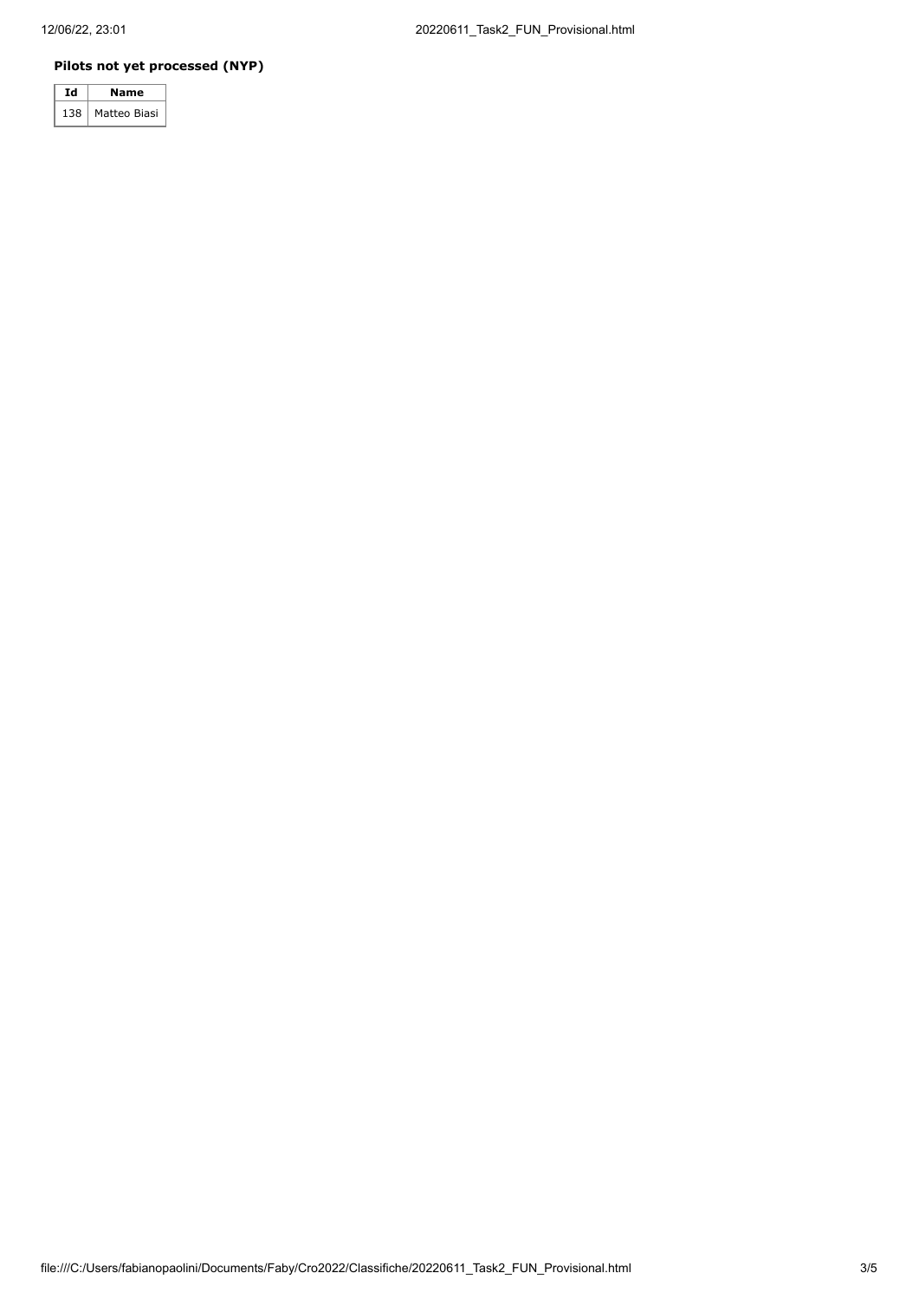#### **Pilots not yet processed (NYP)**

|      | Name         |  |  |  |  |
|------|--------------|--|--|--|--|
| 12.0 | Matteo Biasi |  |  |  |  |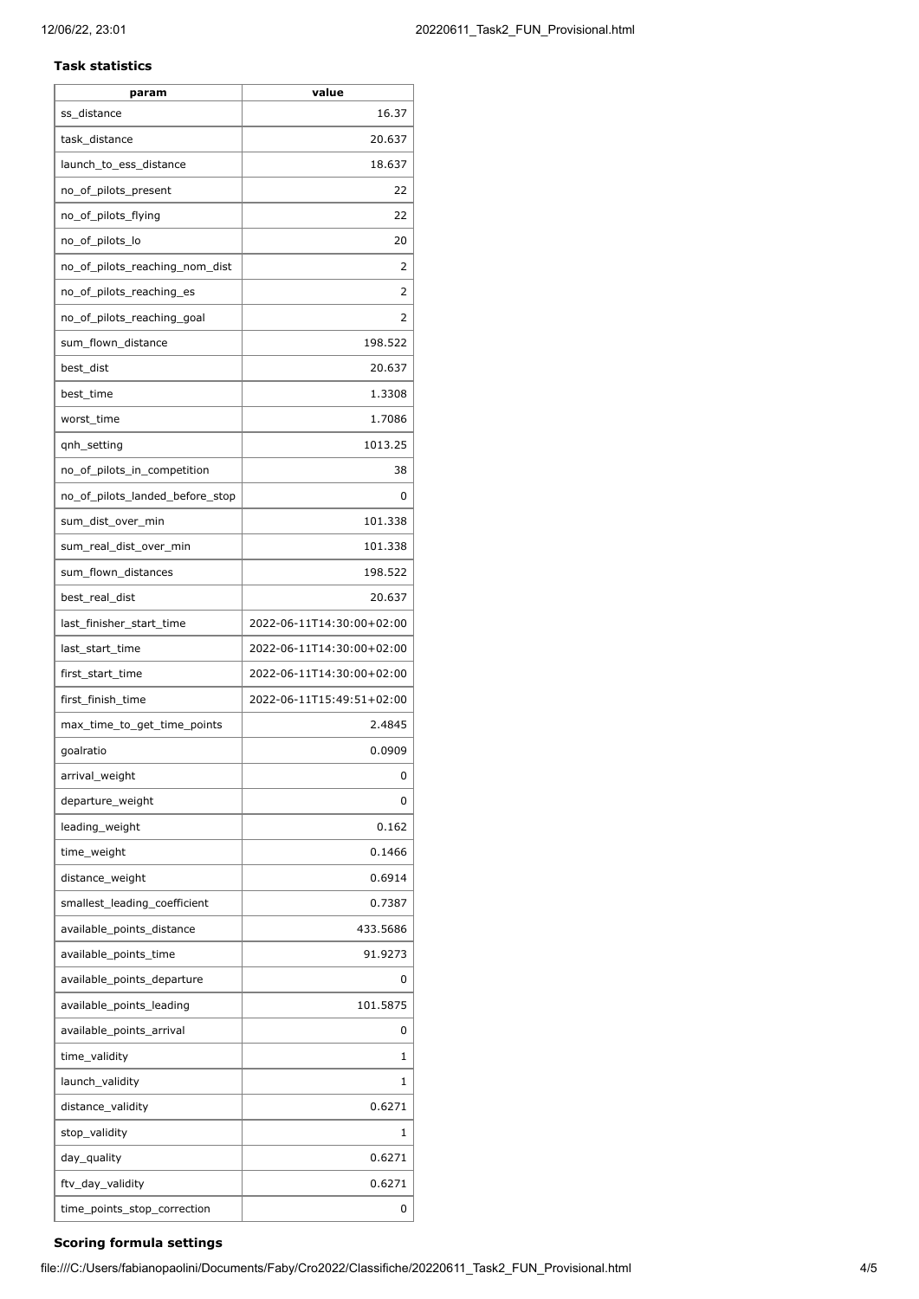#### **Task statistics**

| param                           | value                     |
|---------------------------------|---------------------------|
| ss_distance                     | 16.37                     |
| task_distance                   | 20.637                    |
| launch_to_ess_distance          | 18.637                    |
| no_of_pilots_present            | 22                        |
| no_of_pilots_flying             | 22                        |
| no_of_pilots_lo                 | 20                        |
| no_of_pilots_reaching_nom_dist  | 2                         |
| no_of_pilots_reaching_es        | 2                         |
| no_of_pilots_reaching_goal      | 2                         |
| sum_flown_distance              | 198.522                   |
| best_dist                       | 20.637                    |
| best time                       | 1.3308                    |
| worst_time                      | 1.7086                    |
| gnh_setting                     | 1013.25                   |
| no_of_pilots_in_competition     | 38                        |
| no_of_pilots_landed_before_stop | 0                         |
| sum dist over min               | 101.338                   |
| sum_real_dist_over_min          | 101.338                   |
| sum_flown_distances             | 198.522                   |
| best_real_dist                  | 20.637                    |
| last_finisher_start_time        | 2022-06-11T14:30:00+02:00 |
| last_start_time                 | 2022-06-11T14:30:00+02:00 |
| first_start_time                | 2022-06-11T14:30:00+02:00 |
| first_finish_time               | 2022-06-11T15:49:51+02:00 |
| max_time_to_get_time_points     | 2.4845                    |
| goalratio                       | 0.0909                    |
| arrival_weight                  | 0                         |
| departure_weight                | 0                         |
| leading_weight                  | 0.162                     |
| time_weight                     | 0.1466                    |
| distance_weight                 | 0.6914                    |
| smallest_leading_coefficient    | 0.7387                    |
| available_points_distance       | 433.5686                  |
| available_points_time           | 91.9273                   |
| available_points_departure      | 0                         |
| available_points_leading        | 101.5875                  |
| available_points_arrival        | 0                         |
| time_validity                   | 1                         |
| launch_validity                 | 1                         |
| distance_validity               | 0.6271                    |
| stop_validity                   | 1                         |
| day_quality                     | 0.6271                    |
| ftv_day_validity                | 0.6271                    |
| time_points_stop_correction     | 0                         |
|                                 |                           |

### **Scoring formula settings**